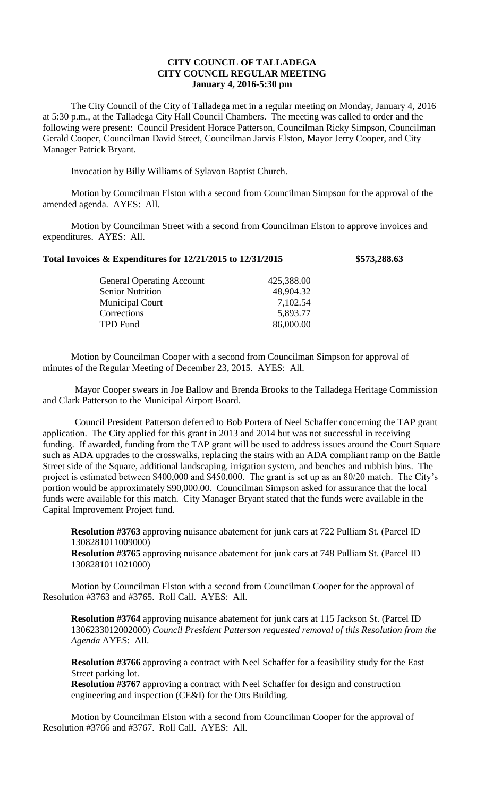## **CITY COUNCIL OF TALLADEGA CITY COUNCIL REGULAR MEETING January 4, 2016-5:30 pm**

The City Council of the City of Talladega met in a regular meeting on Monday, January 4, 2016 at 5:30 p.m., at the Talladega City Hall Council Chambers. The meeting was called to order and the following were present: Council President Horace Patterson, Councilman Ricky Simpson, Councilman Gerald Cooper, Councilman David Street, Councilman Jarvis Elston, Mayor Jerry Cooper, and City Manager Patrick Bryant.

Invocation by Billy Williams of Sylavon Baptist Church.

Motion by Councilman Elston with a second from Councilman Simpson for the approval of the amended agenda. AYES: All.

Motion by Councilman Street with a second from Councilman Elston to approve invoices and expenditures. AYES: All.

## **Total Invoices & Expenditures for 12/21/2015 to 12/31/2015 \$573,288.63**

| <b>General Operating Account</b> | 425,388.00 |
|----------------------------------|------------|
| <b>Senior Nutrition</b>          | 48,904.32  |
| <b>Municipal Court</b>           | 7,102.54   |
| Corrections                      | 5,893.77   |
| TPD Fund                         | 86,000.00  |
|                                  |            |

Motion by Councilman Cooper with a second from Councilman Simpson for approval of minutes of the Regular Meeting of December 23, 2015. AYES: All.

Mayor Cooper swears in Joe Ballow and Brenda Brooks to the Talladega Heritage Commission and Clark Patterson to the Municipal Airport Board.

Council President Patterson deferred to Bob Portera of Neel Schaffer concerning the TAP grant application. The City applied for this grant in 2013 and 2014 but was not successful in receiving funding. If awarded, funding from the TAP grant will be used to address issues around the Court Square such as ADA upgrades to the crosswalks, replacing the stairs with an ADA compliant ramp on the Battle Street side of the Square, additional landscaping, irrigation system, and benches and rubbish bins. The project is estimated between \$400,000 and \$450,000. The grant is set up as an 80/20 match. The City's portion would be approximately \$90,000.00. Councilman Simpson asked for assurance that the local funds were available for this match. City Manager Bryant stated that the funds were available in the Capital Improvement Project fund.

**Resolution #3763** approving nuisance abatement for junk cars at 722 Pulliam St. (Parcel ID 1308281011009000)

**Resolution #3765** approving nuisance abatement for junk cars at 748 Pulliam St. (Parcel ID 1308281011021000)

Motion by Councilman Elston with a second from Councilman Cooper for the approval of Resolution #3763 and #3765. Roll Call. AYES: All.

**Resolution #3764** approving nuisance abatement for junk cars at 115 Jackson St. (Parcel ID 1306233012002000) *Council President Patterson requested removal of this Resolution from the Agenda* AYES: All.

**Resolution #3766** approving a contract with Neel Schaffer for a feasibility study for the East Street parking lot.

**Resolution #3767** approving a contract with Neel Schaffer for design and construction engineering and inspection (CE&I) for the Otts Building.

Motion by Councilman Elston with a second from Councilman Cooper for the approval of Resolution #3766 and #3767. Roll Call. AYES: All.